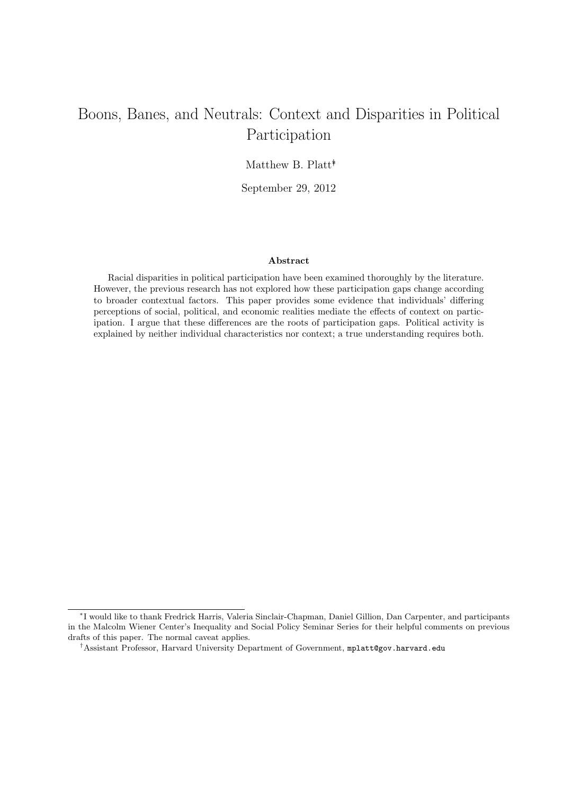## Boons, Banes, and Neutrals: Context and Disparities in Political Participation

Matthew B. Platt*∗†*

September 29, 2012

#### **Abstract**

Racial disparities in political participation have been examined thoroughly by the literature. However, the previous research has not explored how these participation gaps change according to broader contextual factors. This paper provides some evidence that individuals' differing perceptions of social, political, and economic realities mediate the effects of context on participation. I argue that these differences are the roots of participation gaps. Political activity is explained by neither individual characteristics nor context; a true understanding requires both.

*<sup>∗</sup>* I would like to thank Fredrick Harris, Valeria Sinclair-Chapman, Daniel Gillion, Dan Carpenter, and participants in the Malcolm Wiener Center's Inequality and Social Policy Seminar Series for their helpful comments on previous drafts of this paper. The normal caveat applies.

*<sup>†</sup>*Assistant Professor, Harvard University Department of Government, mplatt@gov.harvard.edu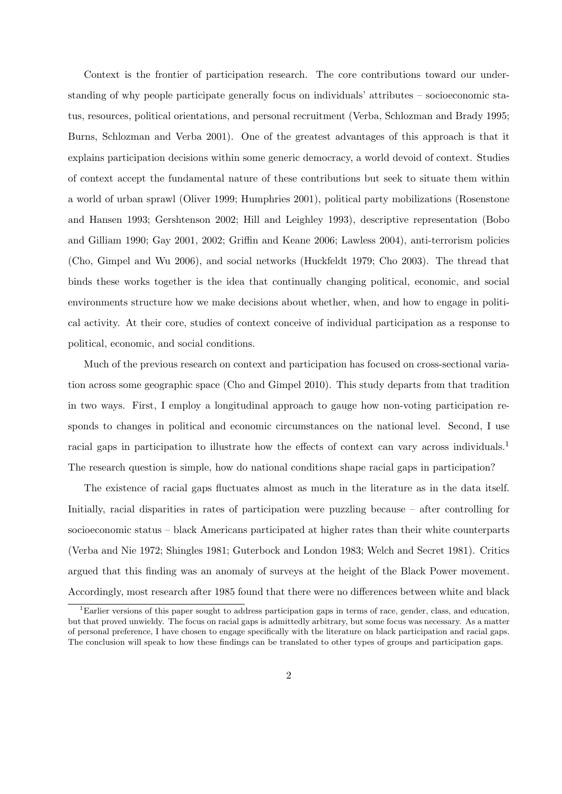Context is the frontier of participation research. The core contributions toward our understanding of why people participate generally focus on individuals' attributes – socioeconomic status, resources, political orientations, and personal recruitment (Verba, Schlozman and Brady 1995; Burns, Schlozman and Verba 2001). One of the greatest advantages of this approach is that it explains participation decisions within some generic democracy, a world devoid of context. Studies of context accept the fundamental nature of these contributions but seek to situate them within a world of urban sprawl (Oliver 1999; Humphries 2001), political party mobilizations (Rosenstone and Hansen 1993; Gershtenson 2002; Hill and Leighley 1993), descriptive representation (Bobo and Gilliam 1990; Gay 2001, 2002; Griffin and Keane 2006; Lawless 2004), anti-terrorism policies (Cho, Gimpel and Wu 2006), and social networks (Huckfeldt 1979; Cho 2003). The thread that binds these works together is the idea that continually changing political, economic, and social environments structure how we make decisions about whether, when, and how to engage in political activity. At their core, studies of context conceive of individual participation as a response to political, economic, and social conditions.

Much of the previous research on context and participation has focused on cross-sectional variation across some geographic space (Cho and Gimpel 2010). This study departs from that tradition in two ways. First, I employ a longitudinal approach to gauge how non-voting participation responds to changes in political and economic circumstances on the national level. Second, I use racial gaps in participation to illustrate how the effects of context can vary across individuals.<sup>1</sup> The research question is simple, how do national conditions shape racial gaps in participation?

The existence of racial gaps fluctuates almost as much in the literature as in the data itself. Initially, racial disparities in rates of participation were puzzling because – after controlling for socioeconomic status – black Americans participated at higher rates than their white counterparts (Verba and Nie 1972; Shingles 1981; Guterbock and London 1983; Welch and Secret 1981). Critics argued that this finding was an anomaly of surveys at the height of the Black Power movement. Accordingly, most research after 1985 found that there were no differences between white and black

<sup>&</sup>lt;sup>1</sup>Earlier versions of this paper sought to address participation gaps in terms of race, gender, class, and education, but that proved unwieldy. The focus on racial gaps is admittedly arbitrary, but some focus was necessary. As a matter of personal preference, I have chosen to engage specifically with the literature on black participation and racial gaps. The conclusion will speak to how these findings can be translated to other types of groups and participation gaps.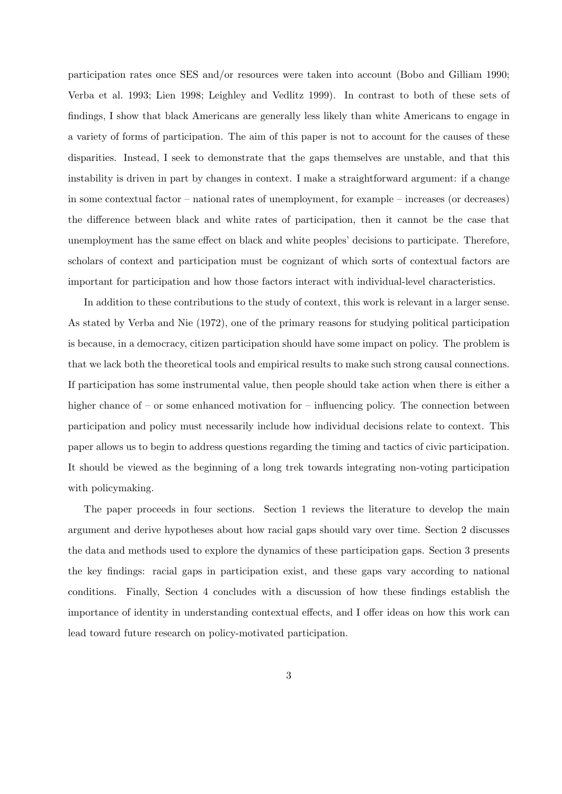participation rates once SES and/or resources were taken into account (Bobo and Gilliam 1990; Verba et al. 1993; Lien 1998; Leighley and Vedlitz 1999). In contrast to both of these sets of findings, I show that black Americans are generally less likely than white Americans to engage in a variety of forms of participation. The aim of this paper is not to account for the causes of these disparities. Instead, I seek to demonstrate that the gaps themselves are unstable, and that this instability is driven in part by changes in context. I make a straightforward argument: if a change in some contextual factor – national rates of unemployment, for example – increases (or decreases) the difference between black and white rates of participation, then it cannot be the case that unemployment has the same effect on black and white peoples' decisions to participate. Therefore, scholars of context and participation must be cognizant of which sorts of contextual factors are important for participation and how those factors interact with individual-level characteristics.

In addition to these contributions to the study of context, this work is relevant in a larger sense. As stated by Verba and Nie (1972), one of the primary reasons for studying political participation is because, in a democracy, citizen participation should have some impact on policy. The problem is that we lack both the theoretical tools and empirical results to make such strong causal connections. If participation has some instrumental value, then people should take action when there is either a higher chance of – or some enhanced motivation for – influencing policy. The connection between participation and policy must necessarily include how individual decisions relate to context. This paper allows us to begin to address questions regarding the timing and tactics of civic participation. It should be viewed as the beginning of a long trek towards integrating non-voting participation with policymaking.

The paper proceeds in four sections. Section 1 reviews the literature to develop the main argument and derive hypotheses about how racial gaps should vary over time. Section 2 discusses the data and methods used to explore the dynamics of these participation gaps. Section 3 presents the key findings: racial gaps in participation exist, and these gaps vary according to national conditions. Finally, Section 4 concludes with a discussion of how these findings establish the importance of identity in understanding contextual effects, and I offer ideas on how this work can lead toward future research on policy-motivated participation.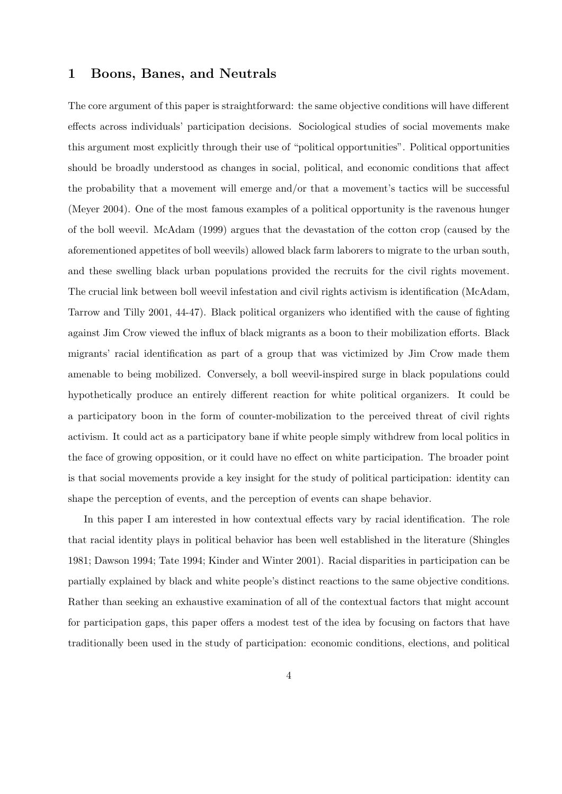### **1 Boons, Banes, and Neutrals**

The core argument of this paper is straightforward: the same objective conditions will have different effects across individuals' participation decisions. Sociological studies of social movements make this argument most explicitly through their use of "political opportunities". Political opportunities should be broadly understood as changes in social, political, and economic conditions that affect the probability that a movement will emerge and/or that a movement's tactics will be successful (Meyer 2004). One of the most famous examples of a political opportunity is the ravenous hunger of the boll weevil. McAdam (1999) argues that the devastation of the cotton crop (caused by the aforementioned appetites of boll weevils) allowed black farm laborers to migrate to the urban south, and these swelling black urban populations provided the recruits for the civil rights movement. The crucial link between boll weevil infestation and civil rights activism is identification (McAdam, Tarrow and Tilly 2001, 44-47). Black political organizers who identified with the cause of fighting against Jim Crow viewed the influx of black migrants as a boon to their mobilization efforts. Black migrants' racial identification as part of a group that was victimized by Jim Crow made them amenable to being mobilized. Conversely, a boll weevil-inspired surge in black populations could hypothetically produce an entirely different reaction for white political organizers. It could be a participatory boon in the form of counter-mobilization to the perceived threat of civil rights activism. It could act as a participatory bane if white people simply withdrew from local politics in the face of growing opposition, or it could have no effect on white participation. The broader point is that social movements provide a key insight for the study of political participation: identity can shape the perception of events, and the perception of events can shape behavior.

In this paper I am interested in how contextual effects vary by racial identification. The role that racial identity plays in political behavior has been well established in the literature (Shingles 1981; Dawson 1994; Tate 1994; Kinder and Winter 2001). Racial disparities in participation can be partially explained by black and white people's distinct reactions to the same objective conditions. Rather than seeking an exhaustive examination of all of the contextual factors that might account for participation gaps, this paper offers a modest test of the idea by focusing on factors that have traditionally been used in the study of participation: economic conditions, elections, and political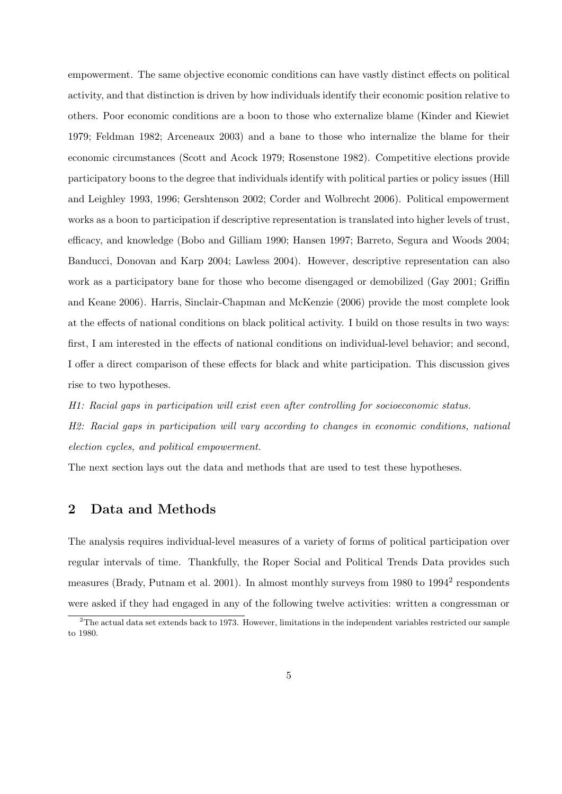empowerment. The same objective economic conditions can have vastly distinct effects on political activity, and that distinction is driven by how individuals identify their economic position relative to others. Poor economic conditions are a boon to those who externalize blame (Kinder and Kiewiet 1979; Feldman 1982; Arceneaux 2003) and a bane to those who internalize the blame for their economic circumstances (Scott and Acock 1979; Rosenstone 1982). Competitive elections provide participatory boons to the degree that individuals identify with political parties or policy issues (Hill and Leighley 1993, 1996; Gershtenson 2002; Corder and Wolbrecht 2006). Political empowerment works as a boon to participation if descriptive representation is translated into higher levels of trust, efficacy, and knowledge (Bobo and Gilliam 1990; Hansen 1997; Barreto, Segura and Woods 2004; Banducci, Donovan and Karp 2004; Lawless 2004). However, descriptive representation can also work as a participatory bane for those who become disengaged or demobilized (Gay 2001; Griffin and Keane 2006). Harris, Sinclair-Chapman and McKenzie (2006) provide the most complete look at the effects of national conditions on black political activity. I build on those results in two ways: first, I am interested in the effects of national conditions on individual-level behavior; and second, I offer a direct comparison of these effects for black and white participation. This discussion gives rise to two hypotheses.

*H1: Racial gaps in participation will exist even after controlling for socioeconomic status.*

*H2: Racial gaps in participation will vary according to changes in economic conditions, national election cycles, and political empowerment.*

The next section lays out the data and methods that are used to test these hypotheses.

## **2 Data and Methods**

The analysis requires individual-level measures of a variety of forms of political participation over regular intervals of time. Thankfully, the Roper Social and Political Trends Data provides such measures (Brady, Putnam et al. 2001). In almost monthly surveys from 1980 to 1994<sup>2</sup> respondents were asked if they had engaged in any of the following twelve activities: written a congressman or

 $2$ The actual data set extends back to 1973. However, limitations in the independent variables restricted our sample to 1980.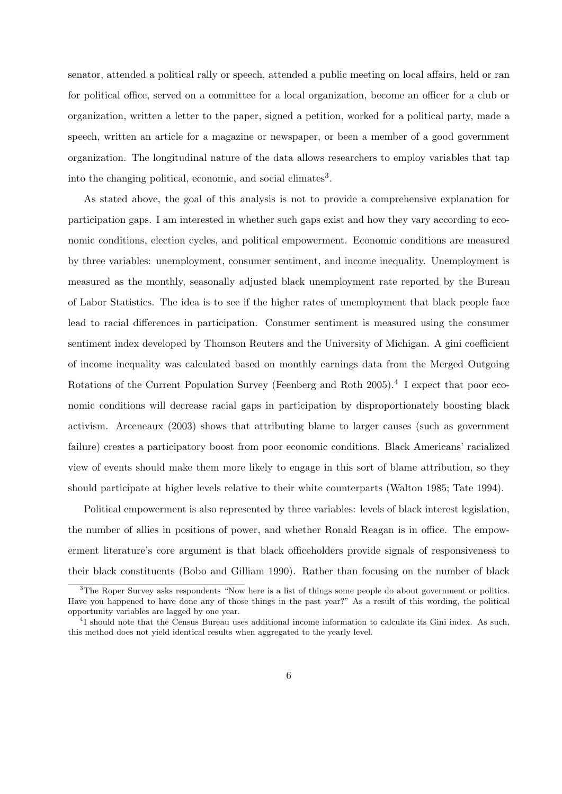senator, attended a political rally or speech, attended a public meeting on local affairs, held or ran for political office, served on a committee for a local organization, become an officer for a club or organization, written a letter to the paper, signed a petition, worked for a political party, made a speech, written an article for a magazine or newspaper, or been a member of a good government organization. The longitudinal nature of the data allows researchers to employ variables that tap into the changing political, economic, and social climates<sup>3</sup>.

As stated above, the goal of this analysis is not to provide a comprehensive explanation for participation gaps. I am interested in whether such gaps exist and how they vary according to economic conditions, election cycles, and political empowerment. Economic conditions are measured by three variables: unemployment, consumer sentiment, and income inequality. Unemployment is measured as the monthly, seasonally adjusted black unemployment rate reported by the Bureau of Labor Statistics. The idea is to see if the higher rates of unemployment that black people face lead to racial differences in participation. Consumer sentiment is measured using the consumer sentiment index developed by Thomson Reuters and the University of Michigan. A gini coefficient of income inequality was calculated based on monthly earnings data from the Merged Outgoing Rotations of the Current Population Survey (Feenberg and Roth 2005).<sup>4</sup> I expect that poor economic conditions will decrease racial gaps in participation by disproportionately boosting black activism. Arceneaux (2003) shows that attributing blame to larger causes (such as government failure) creates a participatory boost from poor economic conditions. Black Americans' racialized view of events should make them more likely to engage in this sort of blame attribution, so they should participate at higher levels relative to their white counterparts (Walton 1985; Tate 1994).

Political empowerment is also represented by three variables: levels of black interest legislation, the number of allies in positions of power, and whether Ronald Reagan is in office. The empowerment literature's core argument is that black officeholders provide signals of responsiveness to their black constituents (Bobo and Gilliam 1990). Rather than focusing on the number of black

<sup>&</sup>lt;sup>3</sup>The Roper Survey asks respondents "Now here is a list of things some people do about government or politics. Have you happened to have done any of those things in the past year?" As a result of this wording, the political opportunity variables are lagged by one year.

<sup>&</sup>lt;sup>4</sup>I should note that the Census Bureau uses additional income information to calculate its Gini index. As such, this method does not yield identical results when aggregated to the yearly level.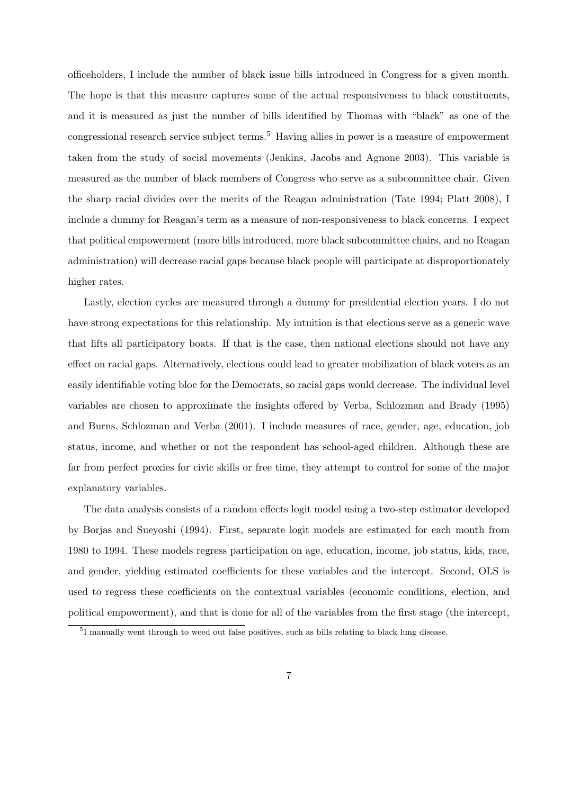officeholders, I include the number of black issue bills introduced in Congress for a given month. The hope is that this measure captures some of the actual responsiveness to black constituents, and it is measured as just the number of bills identified by Thomas with "black" as one of the congressional research service subject terms.<sup>5</sup> Having allies in power is a measure of empowerment taken from the study of social movements (Jenkins, Jacobs and Agnone 2003). This variable is measured as the number of black members of Congress who serve as a subcommittee chair. Given the sharp racial divides over the merits of the Reagan administration (Tate 1994; Platt 2008), I include a dummy for Reagan's term as a measure of non-responsiveness to black concerns. I expect that political empowerment (more bills introduced, more black subcommittee chairs, and no Reagan administration) will decrease racial gaps because black people will participate at disproportionately higher rates.

Lastly, election cycles are measured through a dummy for presidential election years. I do not have strong expectations for this relationship. My intuition is that elections serve as a generic wave that lifts all participatory boats. If that is the case, then national elections should not have any effect on racial gaps. Alternatively, elections could lead to greater mobilization of black voters as an easily identifiable voting bloc for the Democrats, so racial gaps would decrease. The individual level variables are chosen to approximate the insights offered by Verba, Schlozman and Brady (1995) and Burns, Schlozman and Verba (2001). I include measures of race, gender, age, education, job status, income, and whether or not the respondent has school-aged children. Although these are far from perfect proxies for civic skills or free time, they attempt to control for some of the major explanatory variables.

The data analysis consists of a random effects logit model using a two-step estimator developed by Borjas and Sueyoshi (1994). First, separate logit models are estimated for each month from 1980 to 1994. These models regress participation on age, education, income, job status, kids, race, and gender, yielding estimated coefficients for these variables and the intercept. Second, OLS is used to regress these coefficients on the contextual variables (economic conditions, election, and political empowerment), and that is done for all of the variables from the first stage (the intercept,

<sup>&</sup>lt;sup>5</sup>I manually went through to weed out false positives, such as bills relating to black lung disease.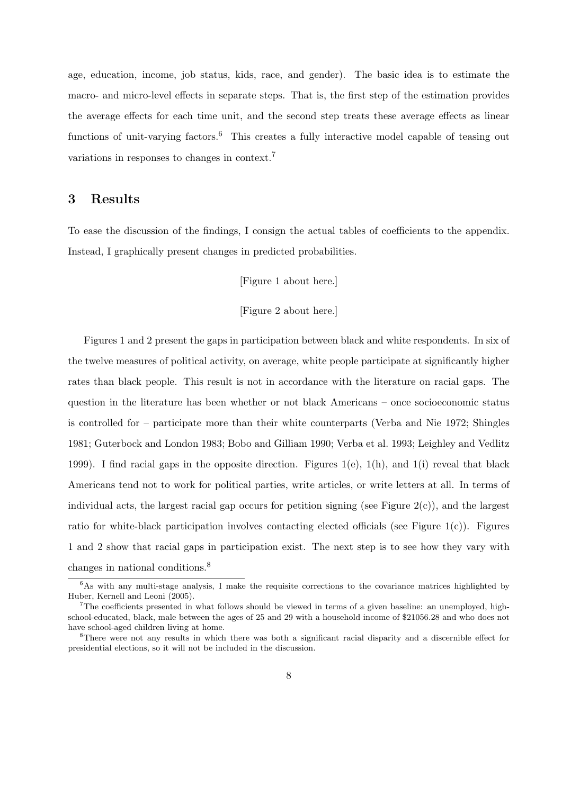age, education, income, job status, kids, race, and gender). The basic idea is to estimate the macro- and micro-level effects in separate steps. That is, the first step of the estimation provides the average effects for each time unit, and the second step treats these average effects as linear functions of unit-varying factors.<sup>6</sup> This creates a fully interactive model capable of teasing out variations in responses to changes in context.<sup>7</sup>

## **3 Results**

To ease the discussion of the findings, I consign the actual tables of coefficients to the appendix. Instead, I graphically present changes in predicted probabilities.

[Figure 1 about here.]

#### [Figure 2 about here.]

Figures 1 and 2 present the gaps in participation between black and white respondents. In six of the twelve measures of political activity, on average, white people participate at significantly higher rates than black people. This result is not in accordance with the literature on racial gaps. The question in the literature has been whether or not black Americans – once socioeconomic status is controlled for – participate more than their white counterparts (Verba and Nie 1972; Shingles 1981; Guterbock and London 1983; Bobo and Gilliam 1990; Verba et al. 1993; Leighley and Vedlitz 1999). I find racial gaps in the opposite direction. Figures 1(e), 1(h), and 1(i) reveal that black Americans tend not to work for political parties, write articles, or write letters at all. In terms of individual acts, the largest racial gap occurs for petition signing (see Figure  $2(c)$ ), and the largest ratio for white-black participation involves contacting elected officials (see Figure 1(c)). Figures 1 and 2 show that racial gaps in participation exist. The next step is to see how they vary with changes in national conditions.<sup>8</sup>

<sup>&</sup>lt;sup>6</sup>As with any multi-stage analysis, I make the requisite corrections to the covariance matrices highlighted by Huber, Kernell and Leoni (2005).

<sup>&</sup>lt;sup>7</sup>The coefficients presented in what follows should be viewed in terms of a given baseline: an unemployed, highschool-educated, black, male between the ages of 25 and 29 with a household income of \$21056.28 and who does not have school-aged children living at home.

<sup>8</sup>There were not any results in which there was both a significant racial disparity and a discernible effect for presidential elections, so it will not be included in the discussion.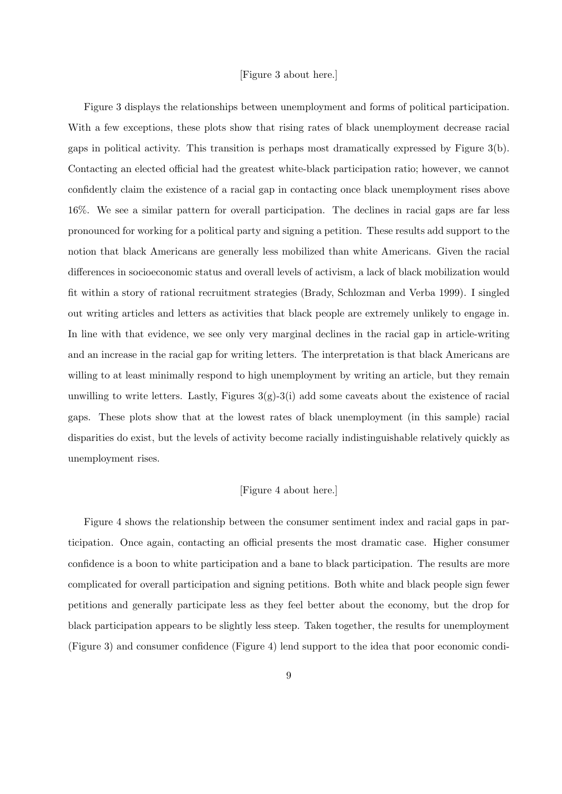#### [Figure 3 about here.]

Figure 3 displays the relationships between unemployment and forms of political participation. With a few exceptions, these plots show that rising rates of black unemployment decrease racial gaps in political activity. This transition is perhaps most dramatically expressed by Figure 3(b). Contacting an elected official had the greatest white-black participation ratio; however, we cannot confidently claim the existence of a racial gap in contacting once black unemployment rises above 16%. We see a similar pattern for overall participation. The declines in racial gaps are far less pronounced for working for a political party and signing a petition. These results add support to the notion that black Americans are generally less mobilized than white Americans. Given the racial differences in socioeconomic status and overall levels of activism, a lack of black mobilization would fit within a story of rational recruitment strategies (Brady, Schlozman and Verba 1999). I singled out writing articles and letters as activities that black people are extremely unlikely to engage in. In line with that evidence, we see only very marginal declines in the racial gap in article-writing and an increase in the racial gap for writing letters. The interpretation is that black Americans are willing to at least minimally respond to high unemployment by writing an article, but they remain unwilling to write letters. Lastly, Figures  $3(g)-3(i)$  add some caveats about the existence of racial gaps. These plots show that at the lowest rates of black unemployment (in this sample) racial disparities do exist, but the levels of activity become racially indistinguishable relatively quickly as unemployment rises.

#### [Figure 4 about here.]

Figure 4 shows the relationship between the consumer sentiment index and racial gaps in participation. Once again, contacting an official presents the most dramatic case. Higher consumer confidence is a boon to white participation and a bane to black participation. The results are more complicated for overall participation and signing petitions. Both white and black people sign fewer petitions and generally participate less as they feel better about the economy, but the drop for black participation appears to be slightly less steep. Taken together, the results for unemployment (Figure 3) and consumer confidence (Figure 4) lend support to the idea that poor economic condi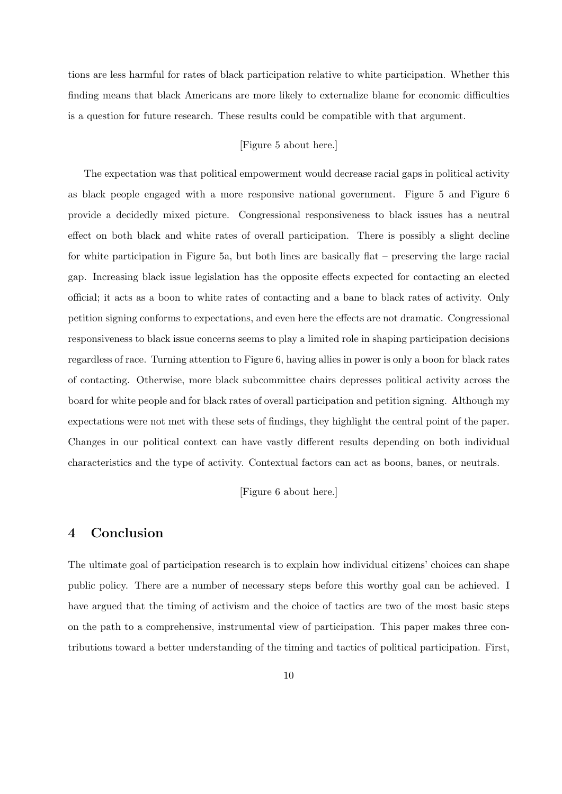tions are less harmful for rates of black participation relative to white participation. Whether this finding means that black Americans are more likely to externalize blame for economic difficulties is a question for future research. These results could be compatible with that argument.

#### [Figure 5 about here.]

The expectation was that political empowerment would decrease racial gaps in political activity as black people engaged with a more responsive national government. Figure 5 and Figure 6 provide a decidedly mixed picture. Congressional responsiveness to black issues has a neutral effect on both black and white rates of overall participation. There is possibly a slight decline for white participation in Figure 5a, but both lines are basically flat – preserving the large racial gap. Increasing black issue legislation has the opposite effects expected for contacting an elected official; it acts as a boon to white rates of contacting and a bane to black rates of activity. Only petition signing conforms to expectations, and even here the effects are not dramatic. Congressional responsiveness to black issue concerns seems to play a limited role in shaping participation decisions regardless of race. Turning attention to Figure 6, having allies in power is only a boon for black rates of contacting. Otherwise, more black subcommittee chairs depresses political activity across the board for white people and for black rates of overall participation and petition signing. Although my expectations were not met with these sets of findings, they highlight the central point of the paper. Changes in our political context can have vastly different results depending on both individual characteristics and the type of activity. Contextual factors can act as boons, banes, or neutrals.

[Figure 6 about here.]

## **4 Conclusion**

The ultimate goal of participation research is to explain how individual citizens' choices can shape public policy. There are a number of necessary steps before this worthy goal can be achieved. I have argued that the timing of activism and the choice of tactics are two of the most basic steps on the path to a comprehensive, instrumental view of participation. This paper makes three contributions toward a better understanding of the timing and tactics of political participation. First,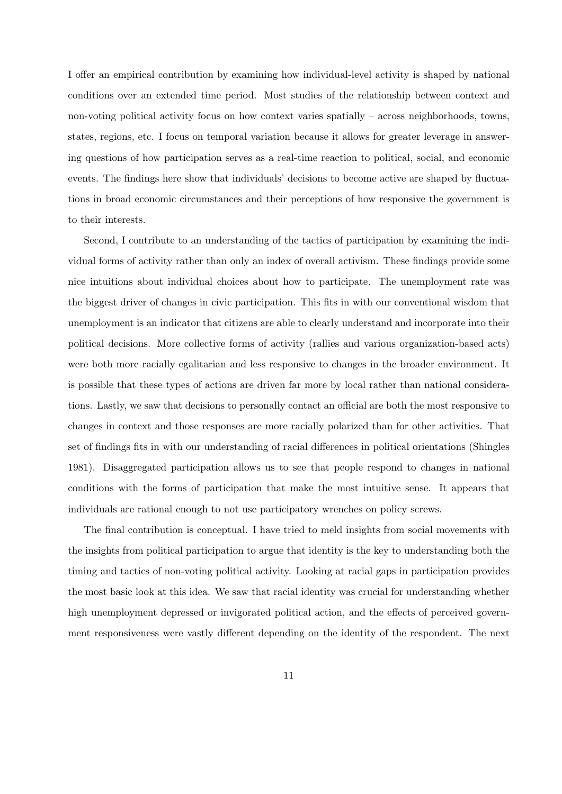I offer an empirical contribution by examining how individual-level activity is shaped by national conditions over an extended time period. Most studies of the relationship between context and non-voting political activity focus on how context varies spatially – across neighborhoods, towns, states, regions, etc. I focus on temporal variation because it allows for greater leverage in answering questions of how participation serves as a real-time reaction to political, social, and economic events. The findings here show that individuals' decisions to become active are shaped by fluctuations in broad economic circumstances and their perceptions of how responsive the government is to their interests.

Second, I contribute to an understanding of the tactics of participation by examining the individual forms of activity rather than only an index of overall activism. These findings provide some nice intuitions about individual choices about how to participate. The unemployment rate was the biggest driver of changes in civic participation. This fits in with our conventional wisdom that unemployment is an indicator that citizens are able to clearly understand and incorporate into their political decisions. More collective forms of activity (rallies and various organization-based acts) were both more racially egalitarian and less responsive to changes in the broader environment. It is possible that these types of actions are driven far more by local rather than national considerations. Lastly, we saw that decisions to personally contact an official are both the most responsive to changes in context and those responses are more racially polarized than for other activities. That set of findings fits in with our understanding of racial differences in political orientations (Shingles 1981). Disaggregated participation allows us to see that people respond to changes in national conditions with the forms of participation that make the most intuitive sense. It appears that individuals are rational enough to not use participatory wrenches on policy screws.

The final contribution is conceptual. I have tried to meld insights from social movements with the insights from political participation to argue that identity is the key to understanding both the timing and tactics of non-voting political activity. Looking at racial gaps in participation provides the most basic look at this idea. We saw that racial identity was crucial for understanding whether high unemployment depressed or invigorated political action, and the effects of perceived government responsiveness were vastly different depending on the identity of the respondent. The next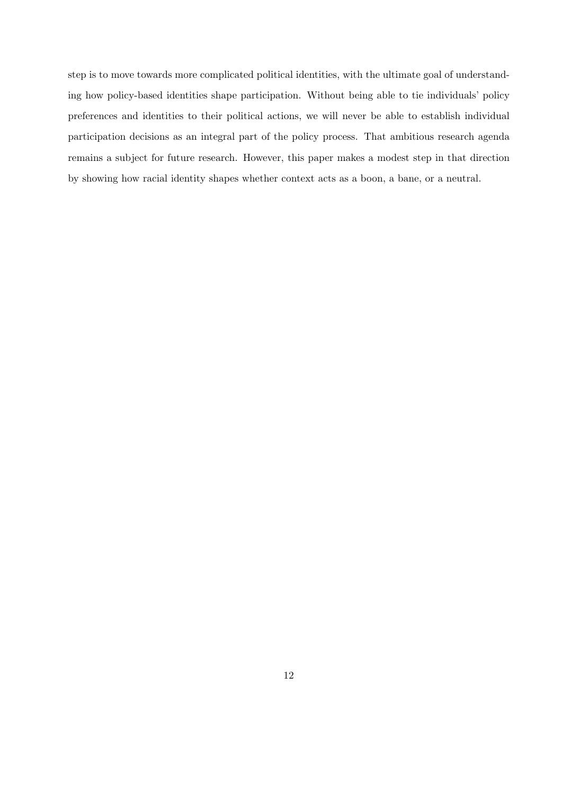step is to move towards more complicated political identities, with the ultimate goal of understanding how policy-based identities shape participation. Without being able to tie individuals' policy preferences and identities to their political actions, we will never be able to establish individual participation decisions as an integral part of the policy process. That ambitious research agenda remains a subject for future research. However, this paper makes a modest step in that direction by showing how racial identity shapes whether context acts as a boon, a bane, or a neutral.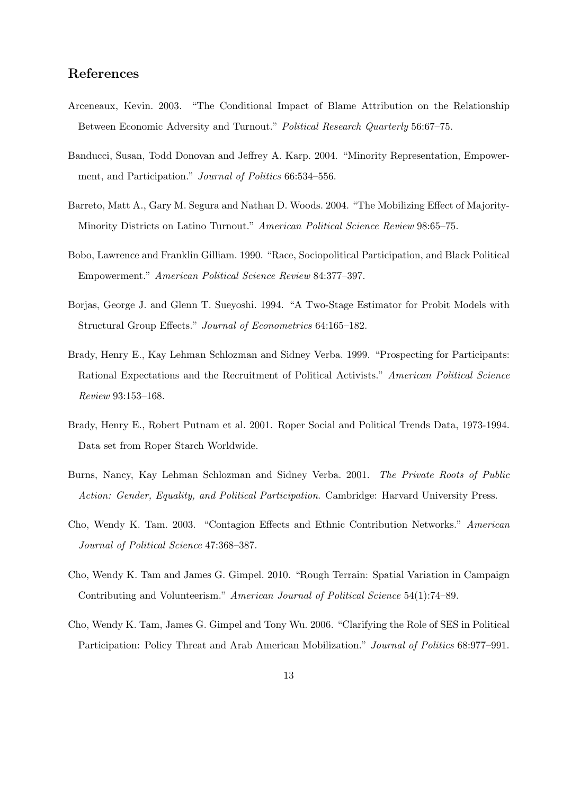## **References**

- Arceneaux, Kevin. 2003. "The Conditional Impact of Blame Attribution on the Relationship Between Economic Adversity and Turnout." *Political Research Quarterly* 56:67–75.
- Banducci, Susan, Todd Donovan and Jeffrey A. Karp. 2004. "Minority Representation, Empowerment, and Participation." *Journal of Politics* 66:534–556.
- Barreto, Matt A., Gary M. Segura and Nathan D. Woods. 2004. "The Mobilizing Effect of Majority-Minority Districts on Latino Turnout." *American Political Science Review* 98:65–75.
- Bobo, Lawrence and Franklin Gilliam. 1990. "Race, Sociopolitical Participation, and Black Political Empowerment." *American Political Science Review* 84:377–397.
- Borjas, George J. and Glenn T. Sueyoshi. 1994. "A Two-Stage Estimator for Probit Models with Structural Group Effects." *Journal of Econometrics* 64:165–182.
- Brady, Henry E., Kay Lehman Schlozman and Sidney Verba. 1999. "Prospecting for Participants: Rational Expectations and the Recruitment of Political Activists." *American Political Science Review* 93:153–168.
- Brady, Henry E., Robert Putnam et al. 2001. Roper Social and Political Trends Data, 1973-1994. Data set from Roper Starch Worldwide.
- Burns, Nancy, Kay Lehman Schlozman and Sidney Verba. 2001. *The Private Roots of Public Action: Gender, Equality, and Political Participation*. Cambridge: Harvard University Press.
- Cho, Wendy K. Tam. 2003. "Contagion Effects and Ethnic Contribution Networks." *American Journal of Political Science* 47:368–387.
- Cho, Wendy K. Tam and James G. Gimpel. 2010. "Rough Terrain: Spatial Variation in Campaign Contributing and Volunteerism." *American Journal of Political Science* 54(1):74–89.
- Cho, Wendy K. Tam, James G. Gimpel and Tony Wu. 2006. "Clarifying the Role of SES in Political Participation: Policy Threat and Arab American Mobilization." *Journal of Politics* 68:977–991.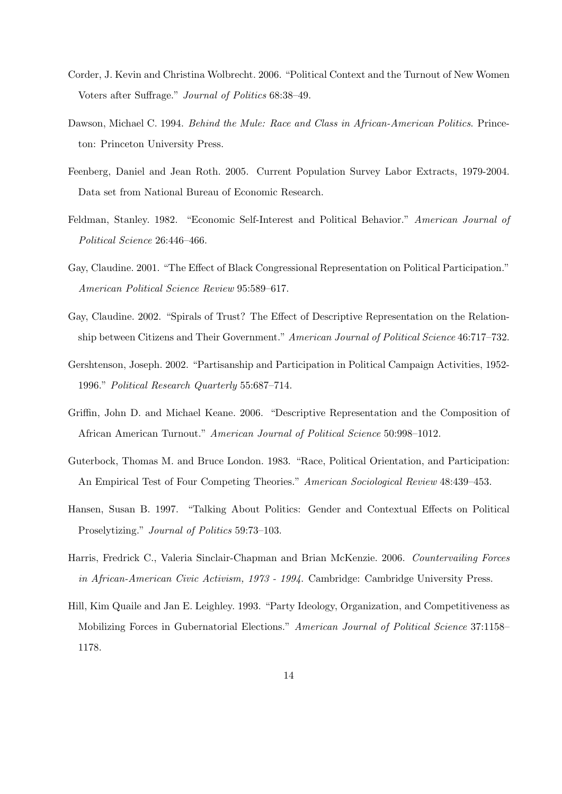- Corder, J. Kevin and Christina Wolbrecht. 2006. "Political Context and the Turnout of New Women Voters after Suffrage." *Journal of Politics* 68:38–49.
- Dawson, Michael C. 1994. *Behind the Mule: Race and Class in African-American Politics*. Princeton: Princeton University Press.
- Feenberg, Daniel and Jean Roth. 2005. Current Population Survey Labor Extracts, 1979-2004. Data set from National Bureau of Economic Research.
- Feldman, Stanley. 1982. "Economic Self-Interest and Political Behavior." *American Journal of Political Science* 26:446–466.
- Gay, Claudine. 2001. "The Effect of Black Congressional Representation on Political Participation." *American Political Science Review* 95:589–617.
- Gay, Claudine. 2002. "Spirals of Trust? The Effect of Descriptive Representation on the Relationship between Citizens and Their Government." *American Journal of Political Science* 46:717–732.
- Gershtenson, Joseph. 2002. "Partisanship and Participation in Political Campaign Activities, 1952- 1996." *Political Research Quarterly* 55:687–714.
- Griffin, John D. and Michael Keane. 2006. "Descriptive Representation and the Composition of African American Turnout." *American Journal of Political Science* 50:998–1012.
- Guterbock, Thomas M. and Bruce London. 1983. "Race, Political Orientation, and Participation: An Empirical Test of Four Competing Theories." *American Sociological Review* 48:439–453.
- Hansen, Susan B. 1997. "Talking About Politics: Gender and Contextual Effects on Political Proselytizing." *Journal of Politics* 59:73–103.
- Harris, Fredrick C., Valeria Sinclair-Chapman and Brian McKenzie. 2006. *Countervailing Forces in African-American Civic Activism, 1973 - 1994*. Cambridge: Cambridge University Press.
- Hill, Kim Quaile and Jan E. Leighley. 1993. "Party Ideology, Organization, and Competitiveness as Mobilizing Forces in Gubernatorial Elections." *American Journal of Political Science* 37:1158– 1178.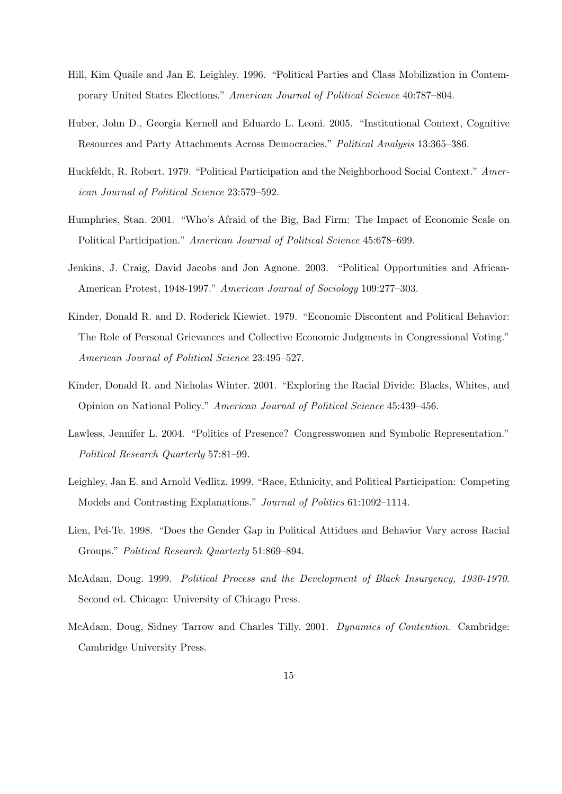- Hill, Kim Quaile and Jan E. Leighley. 1996. "Political Parties and Class Mobilization in Contemporary United States Elections." *American Journal of Political Science* 40:787–804.
- Huber, John D., Georgia Kernell and Eduardo L. Leoni. 2005. "Institutional Context, Cognitive Resources and Party Attachments Across Democracies." *Political Analysis* 13:365–386.
- Huckfeldt, R. Robert. 1979. "Political Participation and the Neighborhood Social Context." *American Journal of Political Science* 23:579–592.
- Humphries, Stan. 2001. "Who's Afraid of the Big, Bad Firm: The Impact of Economic Scale on Political Participation." *American Journal of Political Science* 45:678–699.
- Jenkins, J. Craig, David Jacobs and Jon Agnone. 2003. "Political Opportunities and African-American Protest, 1948-1997." *American Journal of Sociology* 109:277–303.
- Kinder, Donald R. and D. Roderick Kiewiet. 1979. "Economic Discontent and Political Behavior: The Role of Personal Grievances and Collective Economic Judgments in Congressional Voting." *American Journal of Political Science* 23:495–527.
- Kinder, Donald R. and Nicholas Winter. 2001. "Exploring the Racial Divide: Blacks, Whites, and Opinion on National Policy." *American Journal of Political Science* 45:439–456.
- Lawless, Jennifer L. 2004. "Politics of Presence? Congresswomen and Symbolic Representation." *Political Research Quarterly* 57:81–99.
- Leighley, Jan E. and Arnold Vedlitz. 1999. "Race, Ethnicity, and Political Participation: Competing Models and Contrasting Explanations." *Journal of Politics* 61:1092–1114.
- Lien, Pei-Te. 1998. "Does the Gender Gap in Political Attidues and Behavior Vary across Racial Groups." *Political Research Quarterly* 51:869–894.
- McAdam, Doug. 1999. *Political Process and the Development of Black Insurgency, 1930-1970*. Second ed. Chicago: University of Chicago Press.
- McAdam, Doug, Sidney Tarrow and Charles Tilly. 2001. *Dynamics of Contention*. Cambridge: Cambridge University Press.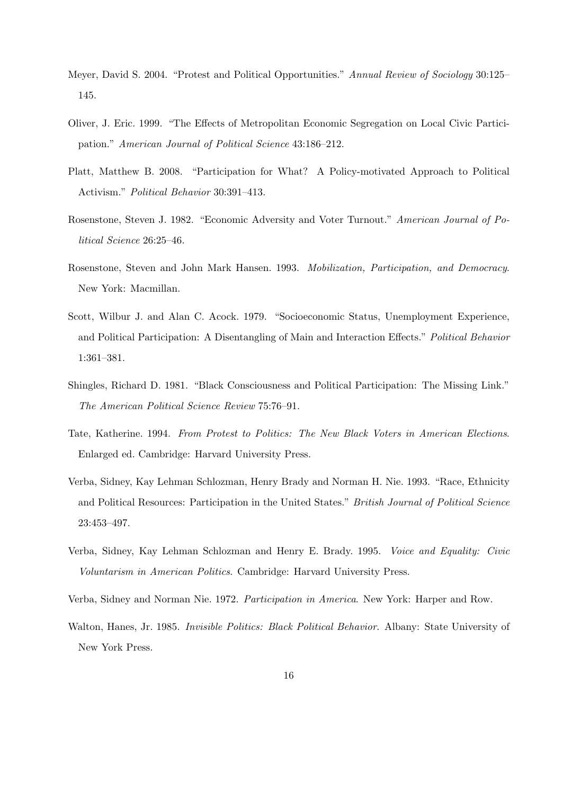- Meyer, David S. 2004. "Protest and Political Opportunities." *Annual Review of Sociology* 30:125– 145.
- Oliver, J. Eric. 1999. "The Effects of Metropolitan Economic Segregation on Local Civic Participation." *American Journal of Political Science* 43:186–212.
- Platt, Matthew B. 2008. "Participation for What? A Policy-motivated Approach to Political Activism." *Political Behavior* 30:391–413.
- Rosenstone, Steven J. 1982. "Economic Adversity and Voter Turnout." *American Journal of Political Science* 26:25–46.
- Rosenstone, Steven and John Mark Hansen. 1993. *Mobilization, Participation, and Democracy*. New York: Macmillan.
- Scott, Wilbur J. and Alan C. Acock. 1979. "Socioeconomic Status, Unemployment Experience, and Political Participation: A Disentangling of Main and Interaction Effects." *Political Behavior* 1:361–381.
- Shingles, Richard D. 1981. "Black Consciousness and Political Participation: The Missing Link." *The American Political Science Review* 75:76–91.
- Tate, Katherine. 1994. *From Protest to Politics: The New Black Voters in American Elections*. Enlarged ed. Cambridge: Harvard University Press.
- Verba, Sidney, Kay Lehman Schlozman, Henry Brady and Norman H. Nie. 1993. "Race, Ethnicity and Political Resources: Participation in the United States." *British Journal of Political Science* 23:453–497.
- Verba, Sidney, Kay Lehman Schlozman and Henry E. Brady. 1995. *Voice and Equality: Civic Voluntarism in American Politics*. Cambridge: Harvard University Press.
- Verba, Sidney and Norman Nie. 1972. *Participation in America*. New York: Harper and Row.
- Walton, Hanes, Jr. 1985. *Invisible Politics: Black Political Behavior*. Albany: State University of New York Press.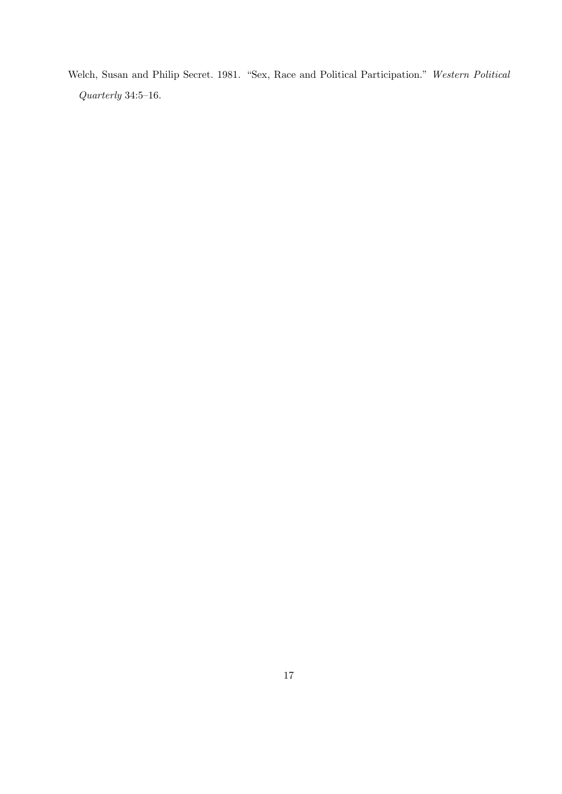Welch, Susan and Philip Secret. 1981. "Sex, Race and Political Participation." *Western Political Quarterly* 34:5–16.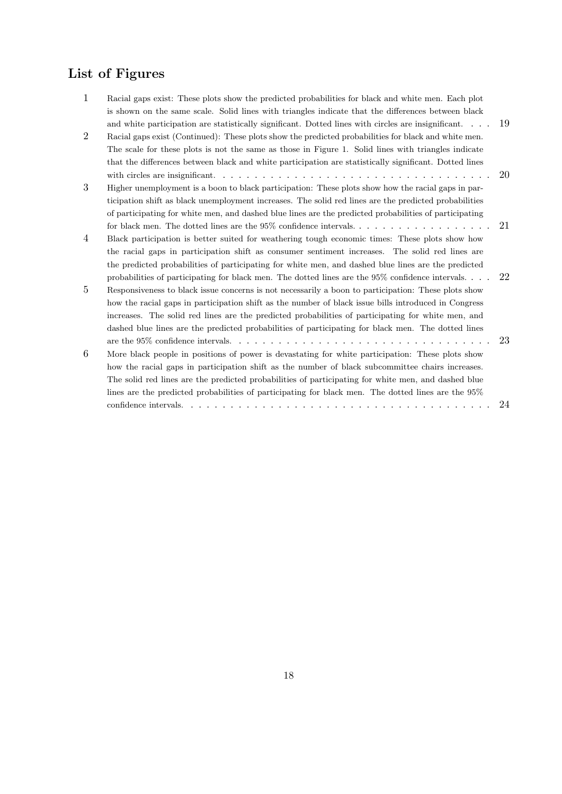# **List of Figures**

| $\mathbf{1}$   | Racial gaps exist: These plots show the predicted probabilities for black and white men. Each plot     |    |
|----------------|--------------------------------------------------------------------------------------------------------|----|
|                | is shown on the same scale. Solid lines with triangles indicate that the differences between black     |    |
|                | and white participation are statistically significant. Dotted lines with circles are insignificant     | 19 |
| $\overline{2}$ | Racial gaps exist (Continued): These plots show the predicted probabilities for black and white men.   |    |
|                | The scale for these plots is not the same as those in Figure 1. Solid lines with triangles indicate    |    |
|                | that the differences between black and white participation are statistically significant. Dotted lines |    |
|                |                                                                                                        | 20 |
| 3              | Higher unemployment is a boon to black participation: These plots show how the racial gaps in par-     |    |
|                | ticipation shift as black unemployment increases. The solid red lines are the predicted probabilities  |    |
|                | of participating for white men, and dashed blue lines are the predicted probabilities of participating |    |
|                |                                                                                                        | 21 |
| $\overline{4}$ | Black participation is better suited for weathering tough economic times: These plots show how         |    |
|                | the racial gaps in participation shift as consumer sentiment increases. The solid red lines are        |    |
|                | the predicted probabilities of participating for white men, and dashed blue lines are the predicted    |    |
|                | probabilities of participating for black men. The dotted lines are the $95\%$ confidence intervals     | 22 |
| $\overline{5}$ |                                                                                                        |    |
|                | Responsiveness to black issue concerns is not necessarily a boon to participation: These plots show    |    |
|                | how the racial gaps in participation shift as the number of black issue bills introduced in Congress   |    |
|                | increases. The solid red lines are the predicted probabilities of participating for white men, and     |    |
|                | dashed blue lines are the predicted probabilities of participating for black men. The dotted lines     |    |
|                |                                                                                                        | 23 |
| 6              | More black people in positions of power is devastating for white participation: These plots show       |    |
|                | how the racial gaps in participation shift as the number of black subcommittee chairs increases.       |    |
|                | The solid red lines are the predicted probabilities of participating for white men, and dashed blue    |    |
|                | lines are the predicted probabilities of participating for black men. The dotted lines are the $95\%$  |    |
|                |                                                                                                        | 24 |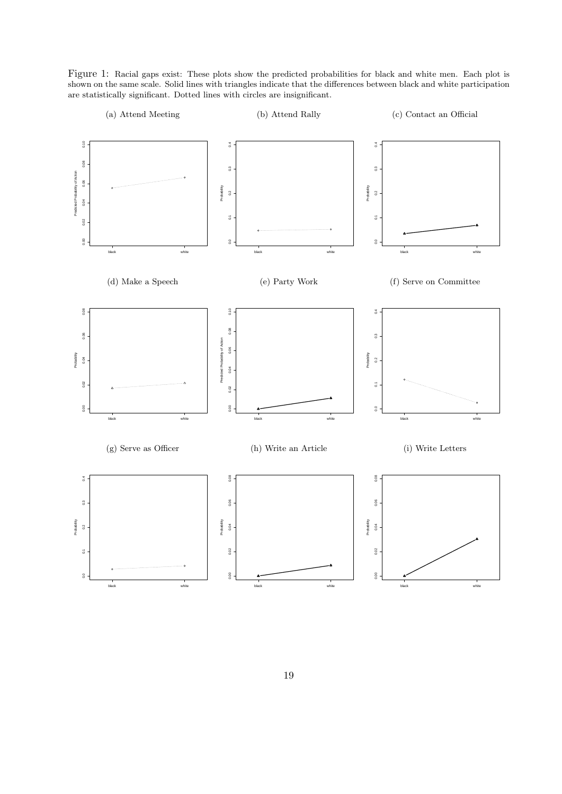Figure 1: Racial gaps exist: These plots show the predicted probabilities for black and white men. Each plot is shown on the same scale. Solid lines with triangles indicate that the differences between black and white participation are statistically significant. Dotted lines with circles are insignificant.

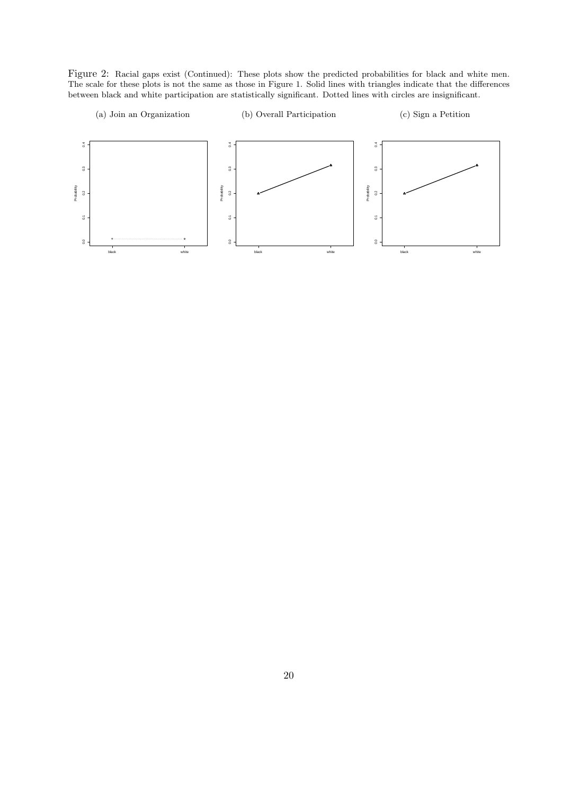Figure 2: Racial gaps exist (Continued): These plots show the predicted probabilities for black and white men. The scale for these plots is not the same as those in Figure 1. Solid lines with triangles indicate that the differences between black and white participation are statistically significant. Dotted lines with circles are insignificant.

(a) Join an Organization

(b) Overall Participation

(c) Sign a Petition

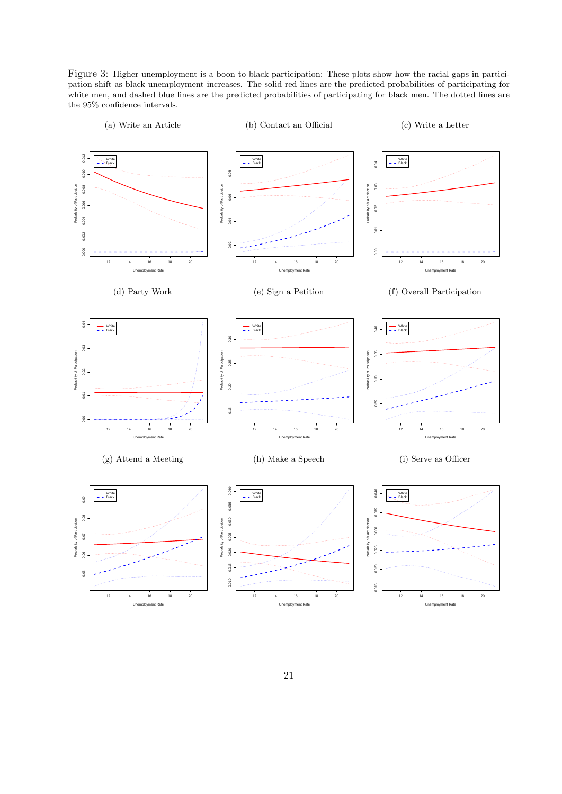Figure 3: Higher unemployment is a boon to black participation: These plots show how the racial gaps in participation shift as black unemployment increases. The solid red lines are the predicted probabilities of participating for white men, and dashed blue lines are the predicted probabilities of participating for black men. The dotted lines are the 95% confidence intervals.

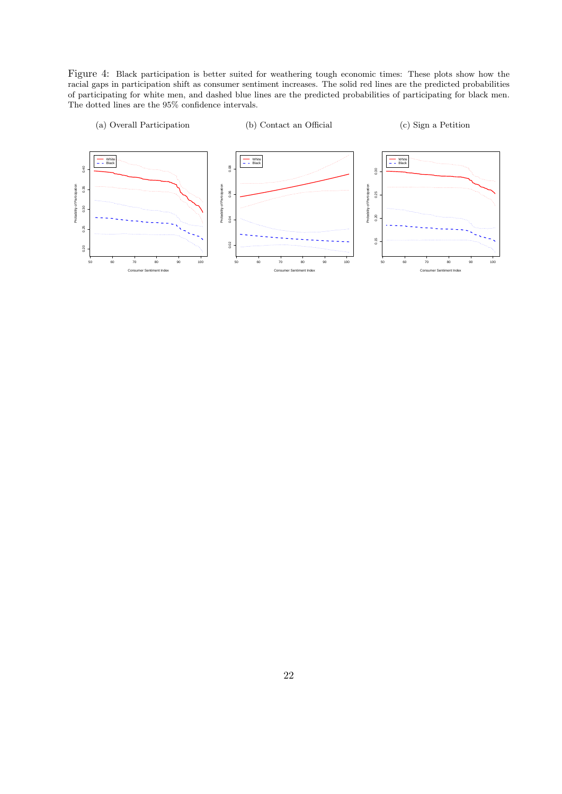Figure 4: Black participation is better suited for weathering tough economic times: These plots show how the racial gaps in participation shift as consumer sentiment increases. The solid red lines are the predicted probabilities of participating for white men, and dashed blue lines are the predicted probabilities of participating for black men. The dotted lines are the 95% confidence intervals.

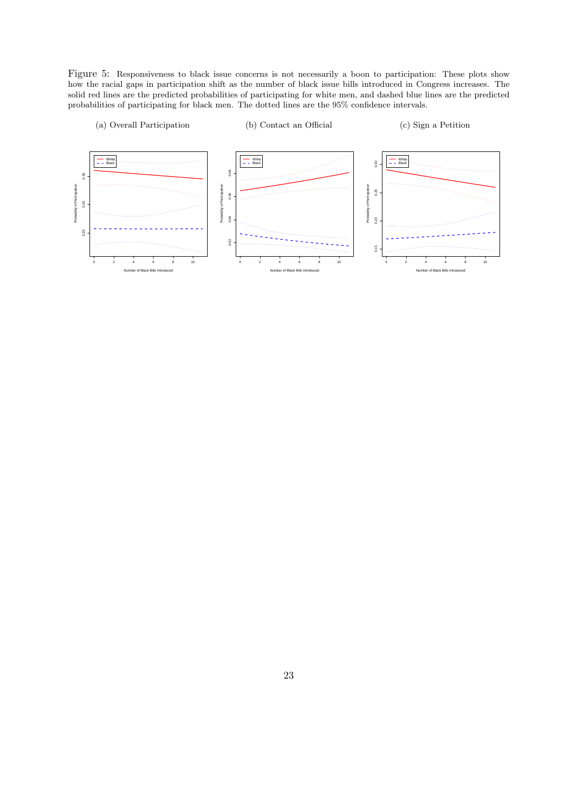Figure 5: Responsiveness to black issue concerns is not necessarily a boon to participation: These plots show how the racial gaps in participation shift as the number of black issue bills introduced in Congress increases. The solid red lines are the predicted probabilities of participating for white men, and dashed blue lines are the predicted probabilities of participating for black men. The dotted lines are the 95% confidence intervals.